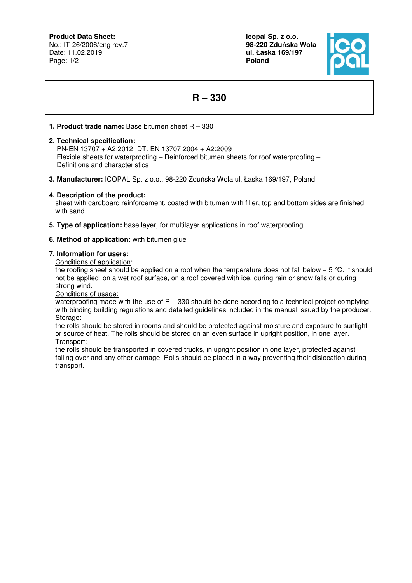**Product Data Sheet:**

No.: IT-26/2006/eng rev.7 Date: 11.02.2019 Page: 1/2

**Icopal Sp. z o.o. 98-220 Zdu**ń**ska Wola ul. Łaska 169/197 Poland** 



# **R – 330**

## **1. Product trade name:** Base bitumen sheet R – 330

#### **2. Technical specification:**

 PN-EN 13707 + A2:2012 IDT. EN 13707:2004 + A2:2009 Flexible sheets for waterproofing – Reinforced bitumen sheets for roof waterproofing – Definitions and characteristics

**3. Manufacturer:** ICOPAL Sp. z o.o., 98-220 Zduńska Wola ul. Łaska 169/197, Poland

### **4. Description of the product:**

sheet with cardboard reinforcement, coated with bitumen with filler, top and bottom sides are finished with sand.

**5. Type of application:** base layer, for multilayer applications in roof waterproofing

### **6. Method of application:** with bitumen glue

#### **7. Information for users:**

Conditions of application:

the roofing sheet should be applied on a roof when the temperature does not fall below  $+ 5 \degree C$ . It should not be applied: on a wet roof surface, on a roof covered with ice, during rain or snow falls or during strong wind.

Conditions of usage:

waterproofing made with the use of  $R - 330$  should be done according to a technical project complying with binding building regulations and detailed guidelines included in the manual issued by the producer. Storage:

the rolls should be stored in rooms and should be protected against moisture and exposure to sunlight or source of heat. The rolls should be stored on an even surface in upright position, in one layer. Transport:

the rolls should be transported in covered trucks, in upright position in one layer, protected against falling over and any other damage. Rolls should be placed in a way preventing their dislocation during transport.